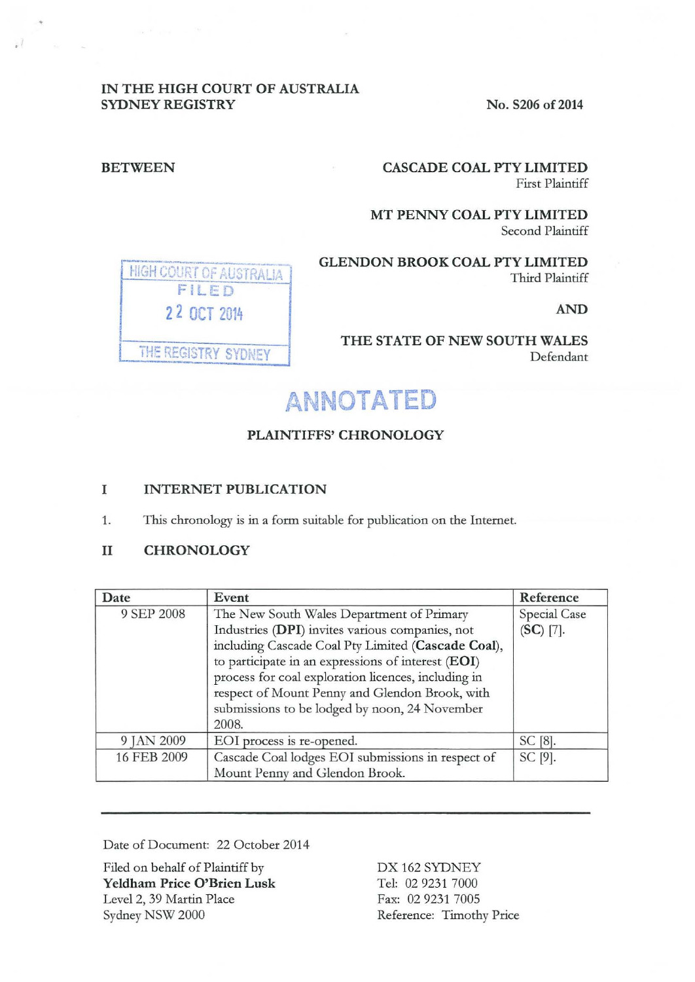### IN THE HIGH COURT OF AUSTRALIA SYDNEY REGISTRY No. S206 of 2014

### BETWEEN CASCADE COAL PTY LIMITED First Plaintiff

MT PENNY COAL PTY LIMITED Second Plaintiff

**FIGH COURT OF AUSTRALIA . GLENDON BROOK COAL PTY LIMITED** Third Plaintiff

FILED 2 2 OCT 2014 **AND** THE REGISTRY SYDNEY

THE STATE OF NEW SOUTH WALES Defendant

# **ANNOTATED**

## PLAINTIFFS' CHRONOLOGY

### I INTERNET PUBLICATION

1. This chronology is in a form suitable for publication on the Internet.

### II CHRONOLOGY

| Date        | Event                                                                                                                                                                                                                                                                                                                                                                       | Reference                   |
|-------------|-----------------------------------------------------------------------------------------------------------------------------------------------------------------------------------------------------------------------------------------------------------------------------------------------------------------------------------------------------------------------------|-----------------------------|
| 9 SEP 2008  | The New South Wales Department of Primary<br>Industries (DPI) invites various companies, not<br>including Cascade Coal Pty Limited (Cascade Coal),<br>to participate in an expressions of interest (EOI)<br>process for coal exploration licences, including in<br>respect of Mount Penny and Glendon Brook, with<br>submissions to be lodged by noon, 24 November<br>2008. | Special Case<br>$(SC)$ [7]. |
| 9 JAN 2009  | EOI process is re-opened.                                                                                                                                                                                                                                                                                                                                                   | SC [8].                     |
| 16 FEB 2009 | Cascade Coal lodges EOI submissions in respect of<br>Mount Penny and Glendon Brook.                                                                                                                                                                                                                                                                                         | SC [9].                     |

Date of Document: 22 October 2014

Filed on behalf of Plaintiff by Yeldham Price O'Brien Lusk Level 2, 39 Martin Place Sydney NSW 2000

DX 162 SYDNEY Tel: 02 9231 7000 Fax: 02 9231 7005 Reference: Timothy Price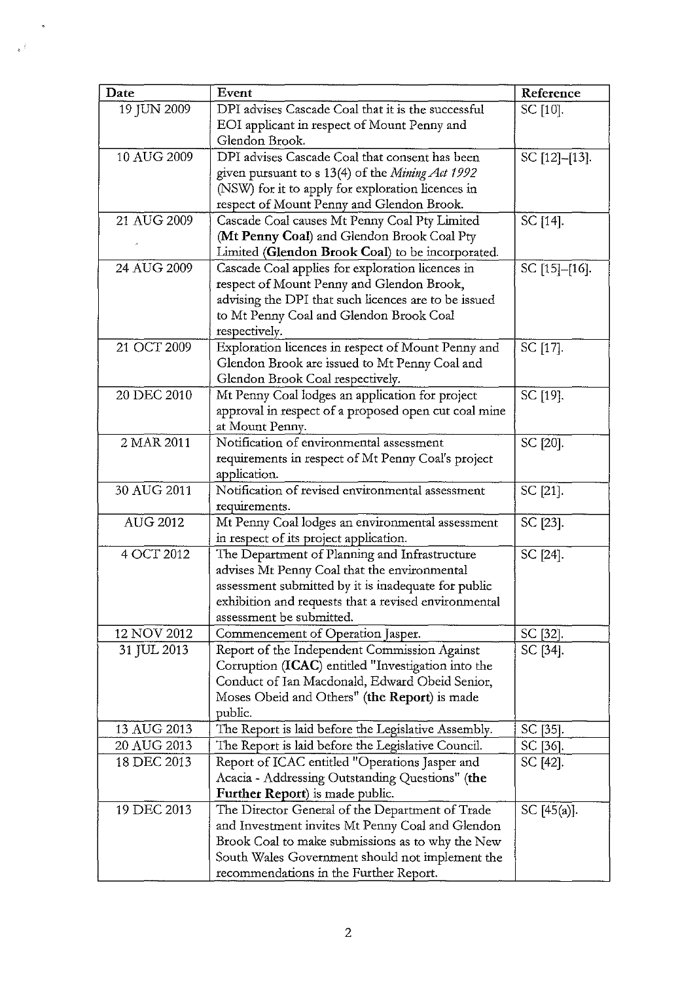| Date            | Event                                                                                             | Reference     |
|-----------------|---------------------------------------------------------------------------------------------------|---------------|
| 19 JUN 2009     | DPI advises Cascade Coal that it is the successful                                                | SC [10].      |
|                 | EOI applicant in respect of Mount Penny and                                                       |               |
|                 | Glendon Brook.                                                                                    |               |
| 10 AUG 2009     | DPI advises Cascade Coal that consent has been                                                    | SC [12]-[13]. |
|                 | given pursuant to s 13(4) of the Mining Act 1992                                                  |               |
|                 | (NSW) for it to apply for exploration licences in                                                 |               |
|                 | respect of Mount Penny and Glendon Brook.                                                         |               |
| 21 AUG 2009     | Cascade Coal causes Mt Penny Coal Pty Limited                                                     | SC [14].      |
|                 | (Mt Penny Coal) and Glendon Brook Coal Pty                                                        |               |
|                 | Limited (Glendon Brook Coal) to be incorporated.                                                  |               |
| 24 AUG 2009     | Cascade Coal applies for exploration licences in                                                  | SC [15]-[16]. |
|                 | respect of Mount Penny and Glendon Brook,                                                         |               |
|                 | advising the DPI that such licences are to be issued                                              |               |
|                 | to Mt Penny Coal and Glendon Brook Coal                                                           |               |
|                 | respectively.                                                                                     |               |
| 21 OCT 2009     | Exploration licences in respect of Mount Penny and                                                | SC [17].      |
|                 | Glendon Brook are issued to Mt Penny Coal and                                                     |               |
|                 | Glendon Brook Coal respectively.                                                                  |               |
| 20 DEC 2010     | Mt Penny Coal lodges an application for project                                                   | SC [19].      |
|                 | approval in respect of a proposed open cut coal mine                                              |               |
|                 | at Mount Penny.                                                                                   |               |
| 2 MAR 2011      | Notification of environmental assessment                                                          | SC [20].      |
|                 | requirements in respect of Mt Penny Coal's project                                                |               |
|                 | application.                                                                                      |               |
| 30 AUG 2011     | Notification of revised environmental assessment                                                  | SC [21].      |
|                 | requirements.                                                                                     |               |
| <b>AUG 2012</b> | Mt Penny Coal lodges an environmental assessment                                                  | SC [23].      |
|                 | in respect of its project application.                                                            |               |
| 4 OCT 2012      | The Department of Planning and Infrastructure                                                     | SC [24].      |
|                 | advises Mt Penny Coal that the environmental                                                      |               |
|                 | assessment submitted by it is inadequate for public                                               |               |
|                 | exhibition and requests that a revised environmental                                              |               |
|                 | assessment be submitted.                                                                          |               |
| 12 NOV 2012     | Commencement of Operation Jasper.                                                                 | SC [32].      |
| 31 JUL 2013     | Report of the Independent Commission Against                                                      | SC [34].      |
|                 | Corruption (ICAC) entitled "Investigation into the                                                |               |
|                 | Conduct of Ian Macdonald, Edward Obeid Senior,                                                    |               |
|                 | Moses Obeid and Others" (the Report) is made<br>public.                                           |               |
| 13 AUG 2013     | The Report is laid before the Legislative Assembly.                                               | SC [35].      |
| 20 AUG 2013     | The Report is laid before the Legislative Council.                                                | SC [36].      |
| 18 DEC 2013     |                                                                                                   |               |
|                 | Report of ICAC entitled "Operations Jasper and<br>Acacia - Addressing Outstanding Questions" (the | SC [42].      |
|                 | Further Report) is made public.                                                                   |               |
| 19 DEC 2013     | The Director General of the Department of Trade                                                   |               |
|                 | and Investment invites Mt Penny Coal and Glendon                                                  | SC $[45(a)].$ |
|                 | Brook Coal to make submissions as to why the New                                                  |               |
|                 | South Wales Government should not implement the                                                   |               |
|                 | recommendations in the Further Report.                                                            |               |
|                 |                                                                                                   |               |